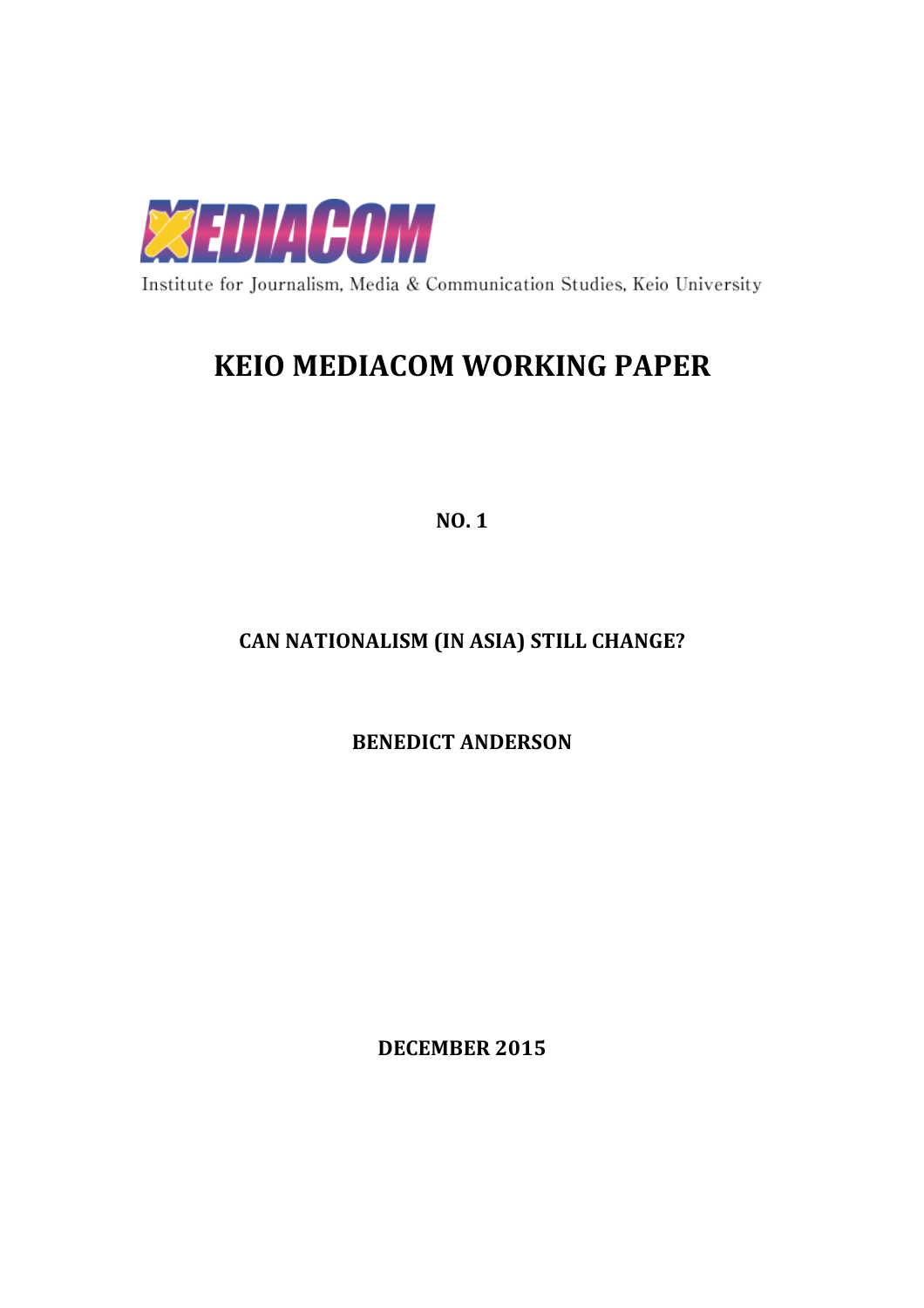

Institute for Journalism, Media & Communication Studies, Keio University

## **KEIO MEDIACOM WORKING PAPER**

**NO. 1**

## **CAN NATIONALISM (IN ASIA) STILL CHANGE?**

**BENEDICT ANDERSON** 

**DECEMBER 2015**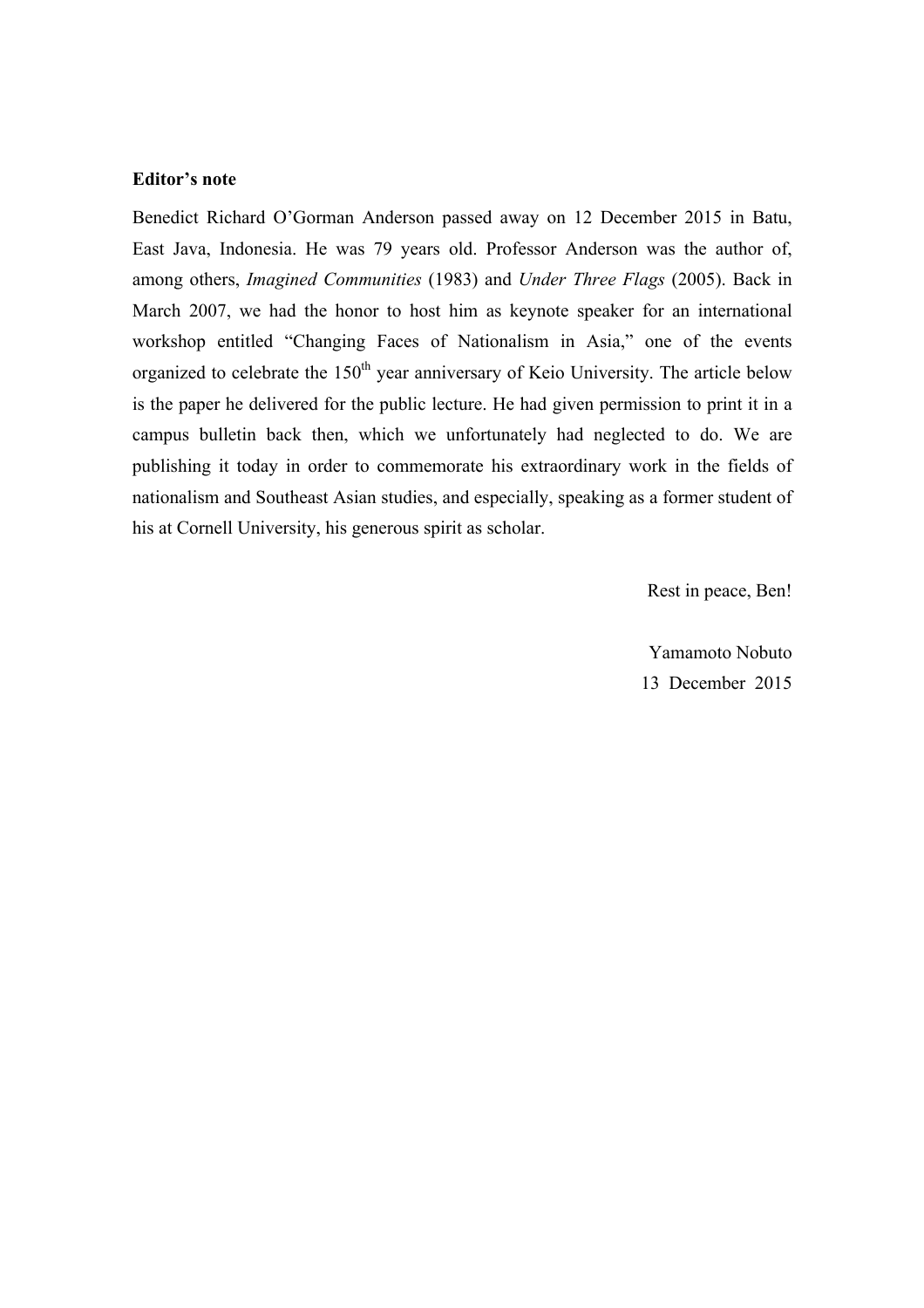## **Editor's note**

Benedict Richard O'Gorman Anderson passed away on 12 December 2015 in Batu, East Java, Indonesia. He was 79 years old. Professor Anderson was the author of, among others, *Imagined Communities* (1983) and *Under Three Flags* (2005). Back in March 2007, we had the honor to host him as keynote speaker for an international workshop entitled "Changing Faces of Nationalism in Asia," one of the events organized to celebrate the  $150<sup>th</sup>$  year anniversary of Keio University. The article below is the paper he delivered for the public lecture. He had given permission to print it in a campus bulletin back then, which we unfortunately had neglected to do. We are publishing it today in order to commemorate his extraordinary work in the fields of nationalism and Southeast Asian studies, and especially, speaking as a former student of his at Cornell University, his generous spirit as scholar.

Rest in peace, Ben!

Yamamoto Nobuto 13 December 2015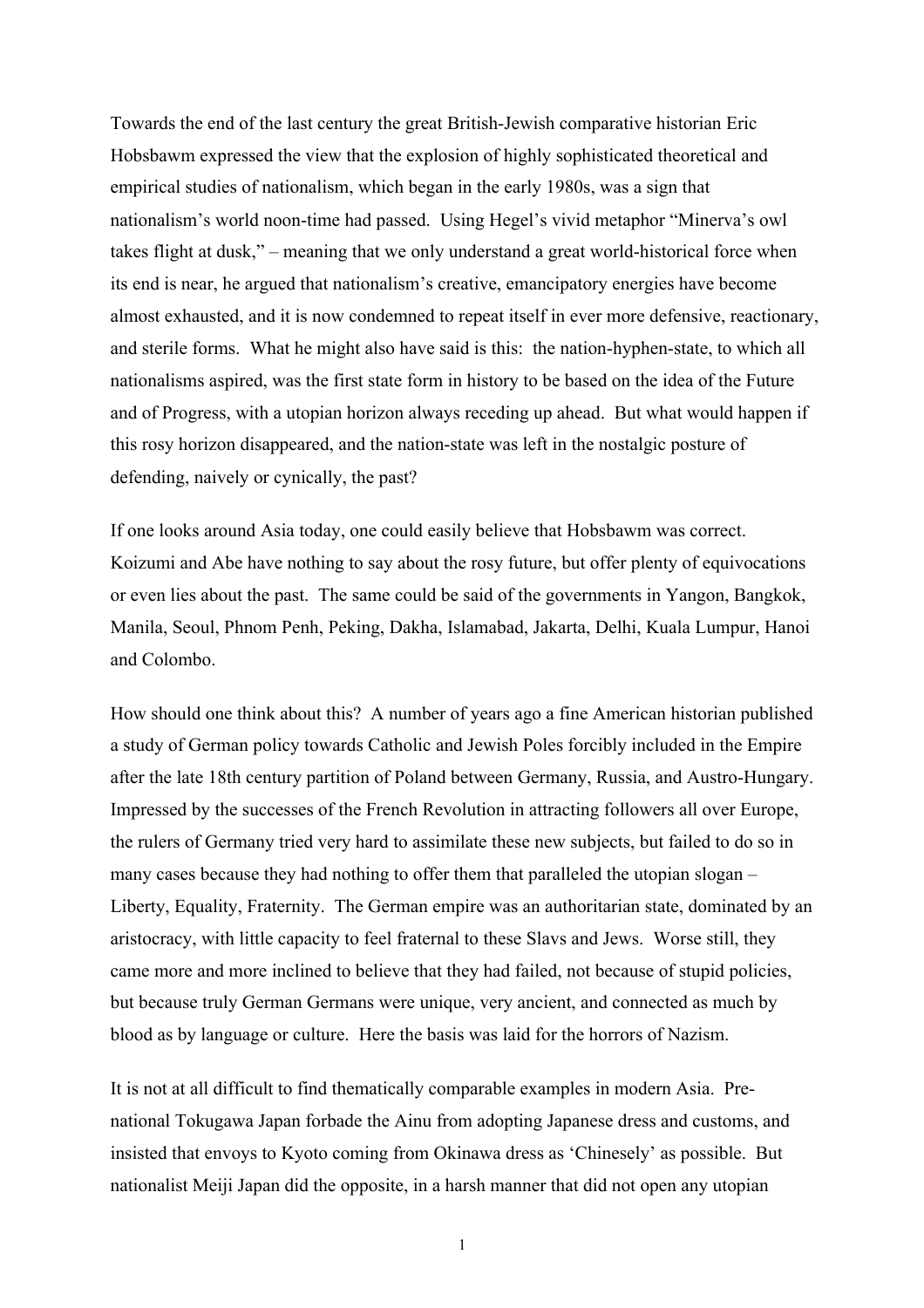Towards the end of the last century the great British-Jewish comparative historian Eric Hobsbawm expressed the view that the explosion of highly sophisticated theoretical and empirical studies of nationalism, which began in the early 1980s, was a sign that nationalism's world noon-time had passed. Using Hegel's vivid metaphor "Minerva's owl takes flight at dusk," – meaning that we only understand a great world-historical force when its end is near, he argued that nationalism's creative, emancipatory energies have become almost exhausted, and it is now condemned to repeat itself in ever more defensive, reactionary, and sterile forms. What he might also have said is this: the nation-hyphen-state, to which all nationalisms aspired, was the first state form in history to be based on the idea of the Future and of Progress, with a utopian horizon always receding up ahead. But what would happen if this rosy horizon disappeared, and the nation-state was left in the nostalgic posture of defending, naively or cynically, the past?

If one looks around Asia today, one could easily believe that Hobsbawm was correct. Koizumi and Abe have nothing to say about the rosy future, but offer plenty of equivocations or even lies about the past. The same could be said of the governments in Yangon, Bangkok, Manila, Seoul, Phnom Penh, Peking, Dakha, Islamabad, Jakarta, Delhi, Kuala Lumpur, Hanoi and Colombo.

How should one think about this? A number of years ago a fine American historian published a study of German policy towards Catholic and Jewish Poles forcibly included in the Empire after the late 18th century partition of Poland between Germany, Russia, and Austro-Hungary. Impressed by the successes of the French Revolution in attracting followers all over Europe, the rulers of Germany tried very hard to assimilate these new subjects, but failed to do so in many cases because they had nothing to offer them that paralleled the utopian slogan – Liberty, Equality, Fraternity. The German empire was an authoritarian state, dominated by an aristocracy, with little capacity to feel fraternal to these Slavs and Jews. Worse still, they came more and more inclined to believe that they had failed, not because of stupid policies, but because truly German Germans were unique, very ancient, and connected as much by blood as by language or culture. Here the basis was laid for the horrors of Nazism.

It is not at all difficult to find thematically comparable examples in modern Asia. Prenational Tokugawa Japan forbade the Ainu from adopting Japanese dress and customs, and insisted that envoys to Kyoto coming from Okinawa dress as 'Chinesely' as possible. But nationalist Meiji Japan did the opposite, in a harsh manner that did not open any utopian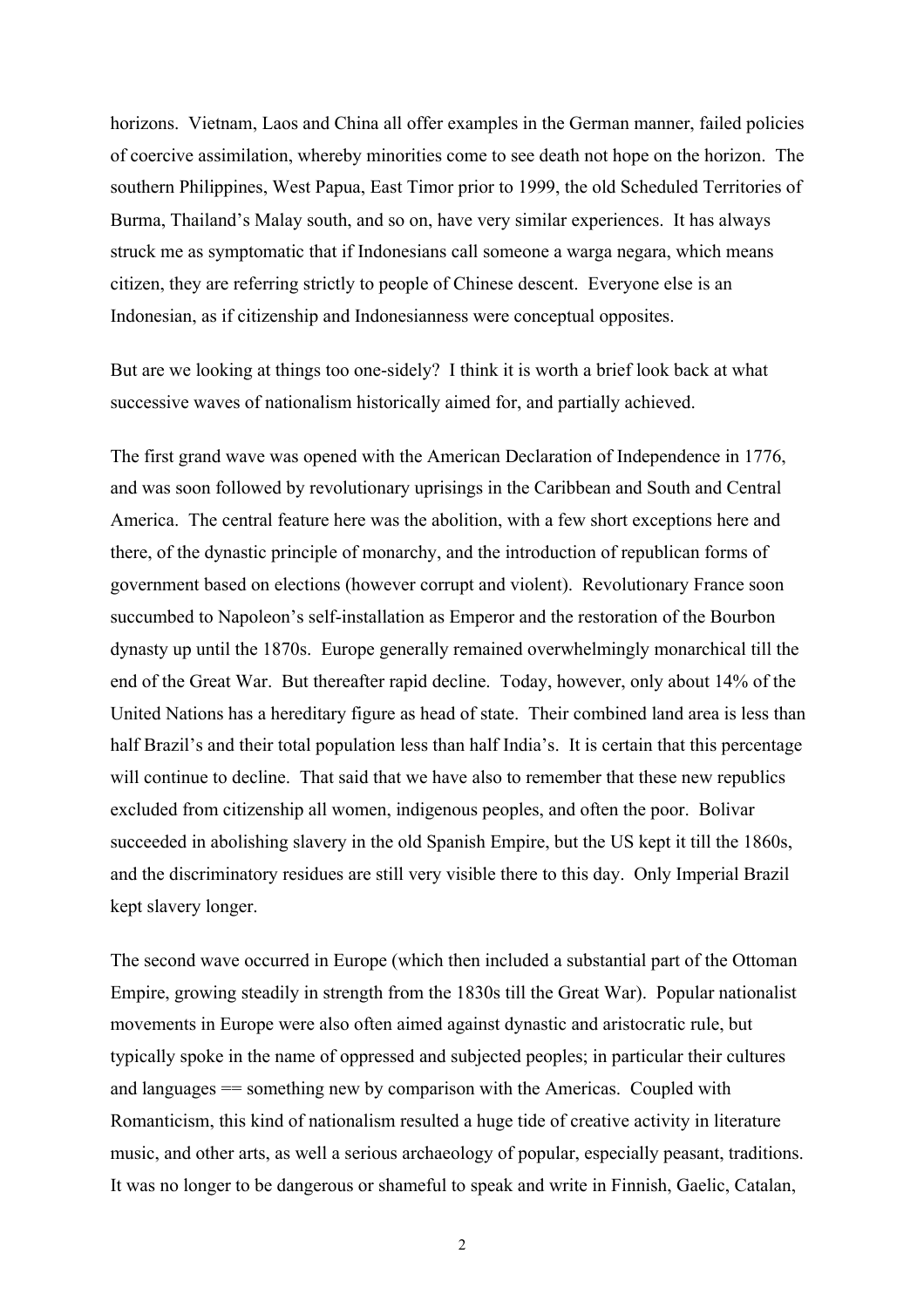horizons. Vietnam, Laos and China all offer examples in the German manner, failed policies of coercive assimilation, whereby minorities come to see death not hope on the horizon. The southern Philippines, West Papua, East Timor prior to 1999, the old Scheduled Territories of Burma, Thailand's Malay south, and so on, have very similar experiences. It has always struck me as symptomatic that if Indonesians call someone a warga negara, which means citizen, they are referring strictly to people of Chinese descent. Everyone else is an Indonesian, as if citizenship and Indonesianness were conceptual opposites.

But are we looking at things too one-sidely? I think it is worth a brief look back at what successive waves of nationalism historically aimed for, and partially achieved.

The first grand wave was opened with the American Declaration of Independence in 1776, and was soon followed by revolutionary uprisings in the Caribbean and South and Central America. The central feature here was the abolition, with a few short exceptions here and there, of the dynastic principle of monarchy, and the introduction of republican forms of government based on elections (however corrupt and violent). Revolutionary France soon succumbed to Napoleon's self-installation as Emperor and the restoration of the Bourbon dynasty up until the 1870s. Europe generally remained overwhelmingly monarchical till the end of the Great War. But thereafter rapid decline. Today, however, only about 14% of the United Nations has a hereditary figure as head of state. Their combined land area is less than half Brazil's and their total population less than half India's. It is certain that this percentage will continue to decline. That said that we have also to remember that these new republics excluded from citizenship all women, indigenous peoples, and often the poor. Bolivar succeeded in abolishing slavery in the old Spanish Empire, but the US kept it till the 1860s, and the discriminatory residues are still very visible there to this day. Only Imperial Brazil kept slavery longer.

The second wave occurred in Europe (which then included a substantial part of the Ottoman Empire, growing steadily in strength from the 1830s till the Great War). Popular nationalist movements in Europe were also often aimed against dynastic and aristocratic rule, but typically spoke in the name of oppressed and subjected peoples; in particular their cultures and languages == something new by comparison with the Americas. Coupled with Romanticism, this kind of nationalism resulted a huge tide of creative activity in literature music, and other arts, as well a serious archaeology of popular, especially peasant, traditions. It was no longer to be dangerous or shameful to speak and write in Finnish, Gaelic, Catalan,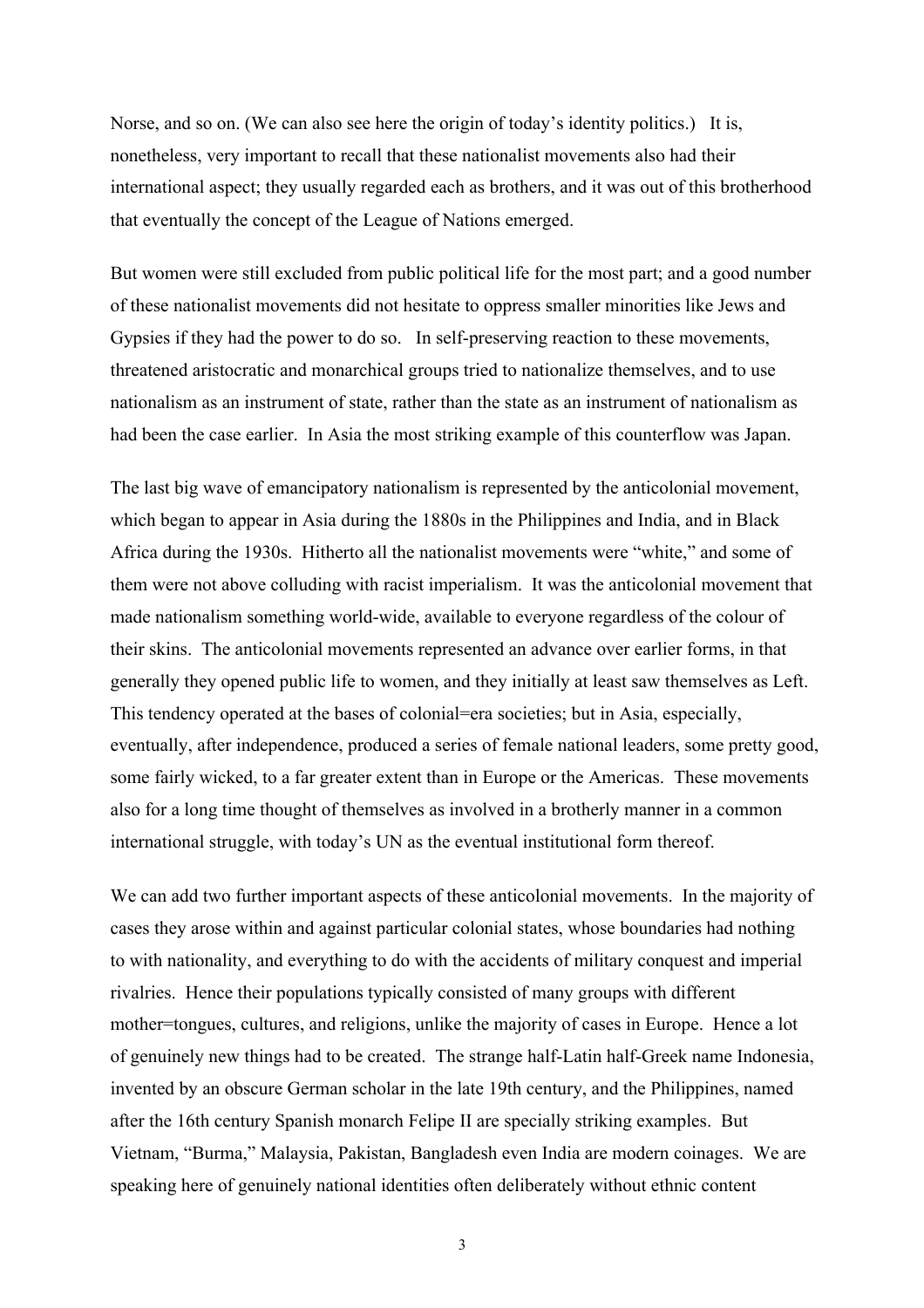Norse, and so on. (We can also see here the origin of today's identity politics.) It is, nonetheless, very important to recall that these nationalist movements also had their international aspect; they usually regarded each as brothers, and it was out of this brotherhood that eventually the concept of the League of Nations emerged.

But women were still excluded from public political life for the most part; and a good number of these nationalist movements did not hesitate to oppress smaller minorities like Jews and Gypsies if they had the power to do so. In self-preserving reaction to these movements, threatened aristocratic and monarchical groups tried to nationalize themselves, and to use nationalism as an instrument of state, rather than the state as an instrument of nationalism as had been the case earlier. In Asia the most striking example of this counterflow was Japan.

The last big wave of emancipatory nationalism is represented by the anticolonial movement, which began to appear in Asia during the 1880s in the Philippines and India, and in Black Africa during the 1930s. Hitherto all the nationalist movements were "white," and some of them were not above colluding with racist imperialism. It was the anticolonial movement that made nationalism something world-wide, available to everyone regardless of the colour of their skins. The anticolonial movements represented an advance over earlier forms, in that generally they opened public life to women, and they initially at least saw themselves as Left. This tendency operated at the bases of colonial=era societies; but in Asia, especially, eventually, after independence, produced a series of female national leaders, some pretty good, some fairly wicked, to a far greater extent than in Europe or the Americas. These movements also for a long time thought of themselves as involved in a brotherly manner in a common international struggle, with today's UN as the eventual institutional form thereof.

We can add two further important aspects of these anticolonial movements. In the majority of cases they arose within and against particular colonial states, whose boundaries had nothing to with nationality, and everything to do with the accidents of military conquest and imperial rivalries. Hence their populations typically consisted of many groups with different mother=tongues, cultures, and religions, unlike the majority of cases in Europe. Hence a lot of genuinely new things had to be created. The strange half-Latin half-Greek name Indonesia, invented by an obscure German scholar in the late 19th century, and the Philippines, named after the 16th century Spanish monarch Felipe II are specially striking examples. But Vietnam, "Burma," Malaysia, Pakistan, Bangladesh even India are modern coinages. We are speaking here of genuinely national identities often deliberately without ethnic content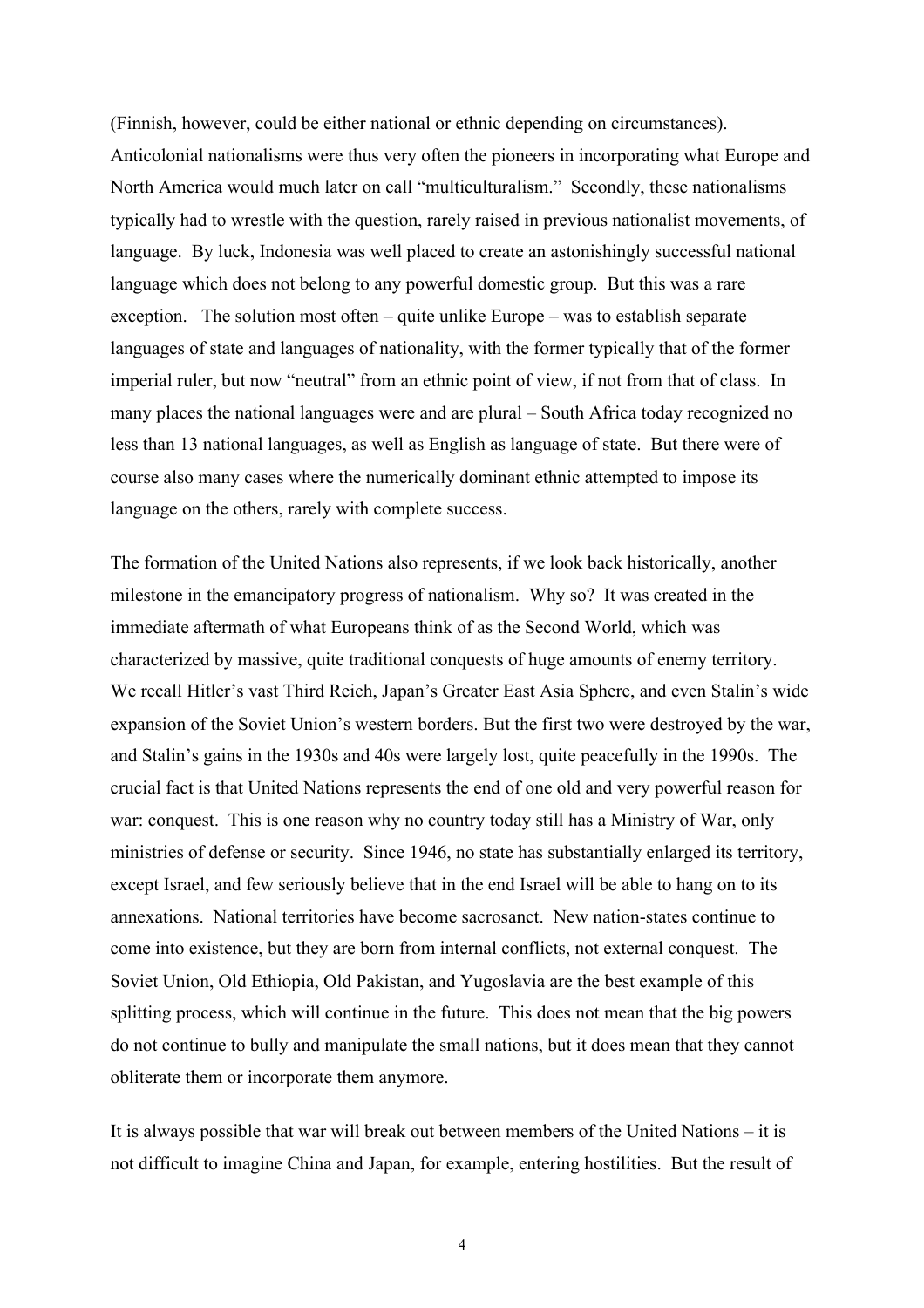(Finnish, however, could be either national or ethnic depending on circumstances). Anticolonial nationalisms were thus very often the pioneers in incorporating what Europe and North America would much later on call "multiculturalism." Secondly, these nationalisms typically had to wrestle with the question, rarely raised in previous nationalist movements, of language. By luck, Indonesia was well placed to create an astonishingly successful national language which does not belong to any powerful domestic group. But this was a rare exception. The solution most often – quite unlike Europe – was to establish separate languages of state and languages of nationality, with the former typically that of the former imperial ruler, but now "neutral" from an ethnic point of view, if not from that of class. In many places the national languages were and are plural – South Africa today recognized no less than 13 national languages, as well as English as language of state. But there were of course also many cases where the numerically dominant ethnic attempted to impose its language on the others, rarely with complete success.

The formation of the United Nations also represents, if we look back historically, another milestone in the emancipatory progress of nationalism. Why so? It was created in the immediate aftermath of what Europeans think of as the Second World, which was characterized by massive, quite traditional conquests of huge amounts of enemy territory. We recall Hitler's vast Third Reich, Japan's Greater East Asia Sphere, and even Stalin's wide expansion of the Soviet Union's western borders. But the first two were destroyed by the war, and Stalin's gains in the 1930s and 40s were largely lost, quite peacefully in the 1990s. The crucial fact is that United Nations represents the end of one old and very powerful reason for war: conquest. This is one reason why no country today still has a Ministry of War, only ministries of defense or security. Since 1946, no state has substantially enlarged its territory, except Israel, and few seriously believe that in the end Israel will be able to hang on to its annexations. National territories have become sacrosanct. New nation-states continue to come into existence, but they are born from internal conflicts, not external conquest. The Soviet Union, Old Ethiopia, Old Pakistan, and Yugoslavia are the best example of this splitting process, which will continue in the future. This does not mean that the big powers do not continue to bully and manipulate the small nations, but it does mean that they cannot obliterate them or incorporate them anymore.

It is always possible that war will break out between members of the United Nations – it is not difficult to imagine China and Japan, for example, entering hostilities. But the result of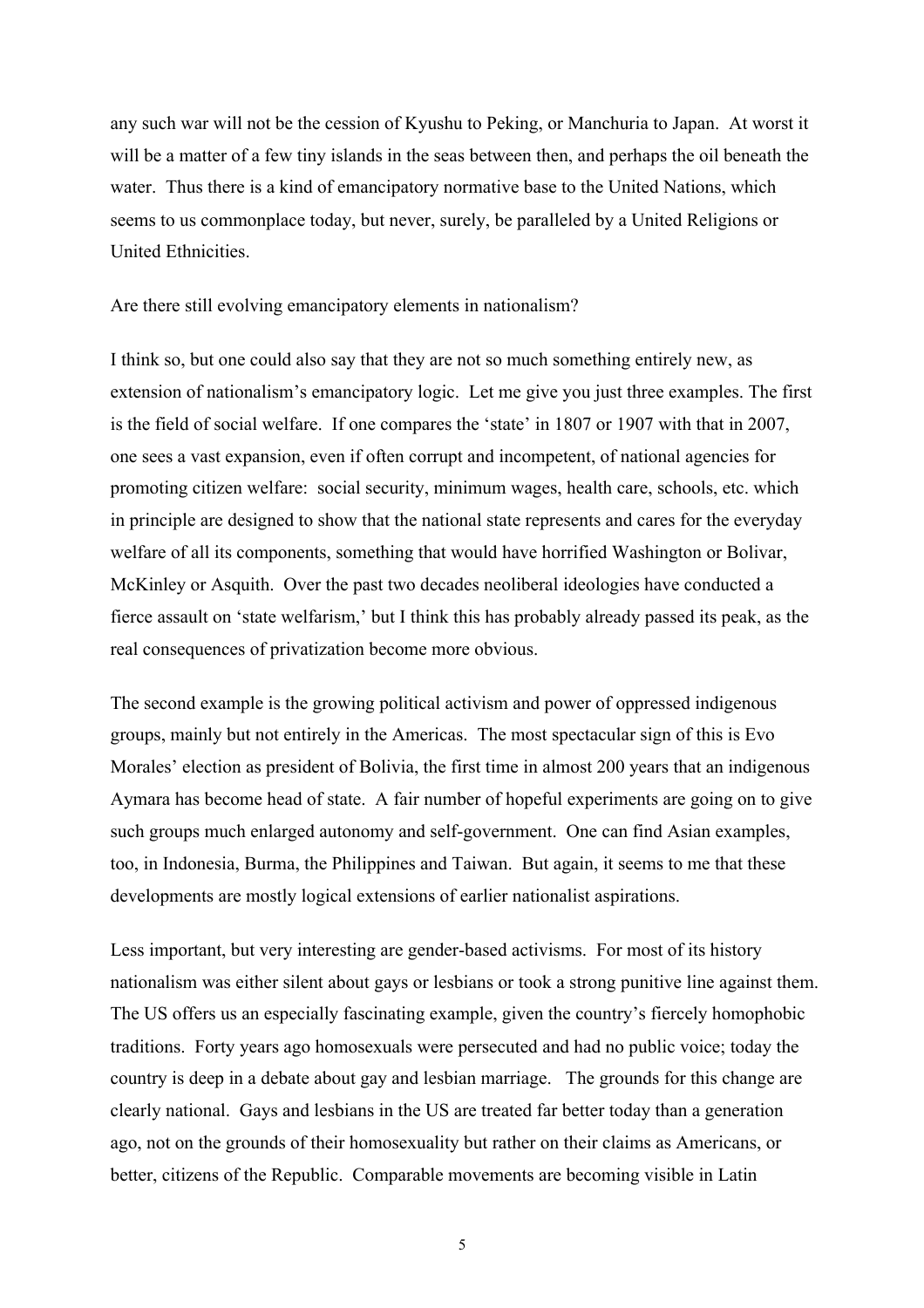any such war will not be the cession of Kyushu to Peking, or Manchuria to Japan. At worst it will be a matter of a few tiny islands in the seas between then, and perhaps the oil beneath the water. Thus there is a kind of emancipatory normative base to the United Nations, which seems to us commonplace today, but never, surely, be paralleled by a United Religions or United Ethnicities.

Are there still evolving emancipatory elements in nationalism?

I think so, but one could also say that they are not so much something entirely new, as extension of nationalism's emancipatory logic. Let me give you just three examples. The first is the field of social welfare. If one compares the 'state' in 1807 or 1907 with that in 2007, one sees a vast expansion, even if often corrupt and incompetent, of national agencies for promoting citizen welfare: social security, minimum wages, health care, schools, etc. which in principle are designed to show that the national state represents and cares for the everyday welfare of all its components, something that would have horrified Washington or Bolivar, McKinley or Asquith. Over the past two decades neoliberal ideologies have conducted a fierce assault on 'state welfarism,' but I think this has probably already passed its peak, as the real consequences of privatization become more obvious.

The second example is the growing political activism and power of oppressed indigenous groups, mainly but not entirely in the Americas. The most spectacular sign of this is Evo Morales' election as president of Bolivia, the first time in almost 200 years that an indigenous Aymara has become head of state. A fair number of hopeful experiments are going on to give such groups much enlarged autonomy and self-government. One can find Asian examples, too, in Indonesia, Burma, the Philippines and Taiwan. But again, it seems to me that these developments are mostly logical extensions of earlier nationalist aspirations.

Less important, but very interesting are gender-based activisms. For most of its history nationalism was either silent about gays or lesbians or took a strong punitive line against them. The US offers us an especially fascinating example, given the country's fiercely homophobic traditions. Forty years ago homosexuals were persecuted and had no public voice; today the country is deep in a debate about gay and lesbian marriage. The grounds for this change are clearly national. Gays and lesbians in the US are treated far better today than a generation ago, not on the grounds of their homosexuality but rather on their claims as Americans, or better, citizens of the Republic. Comparable movements are becoming visible in Latin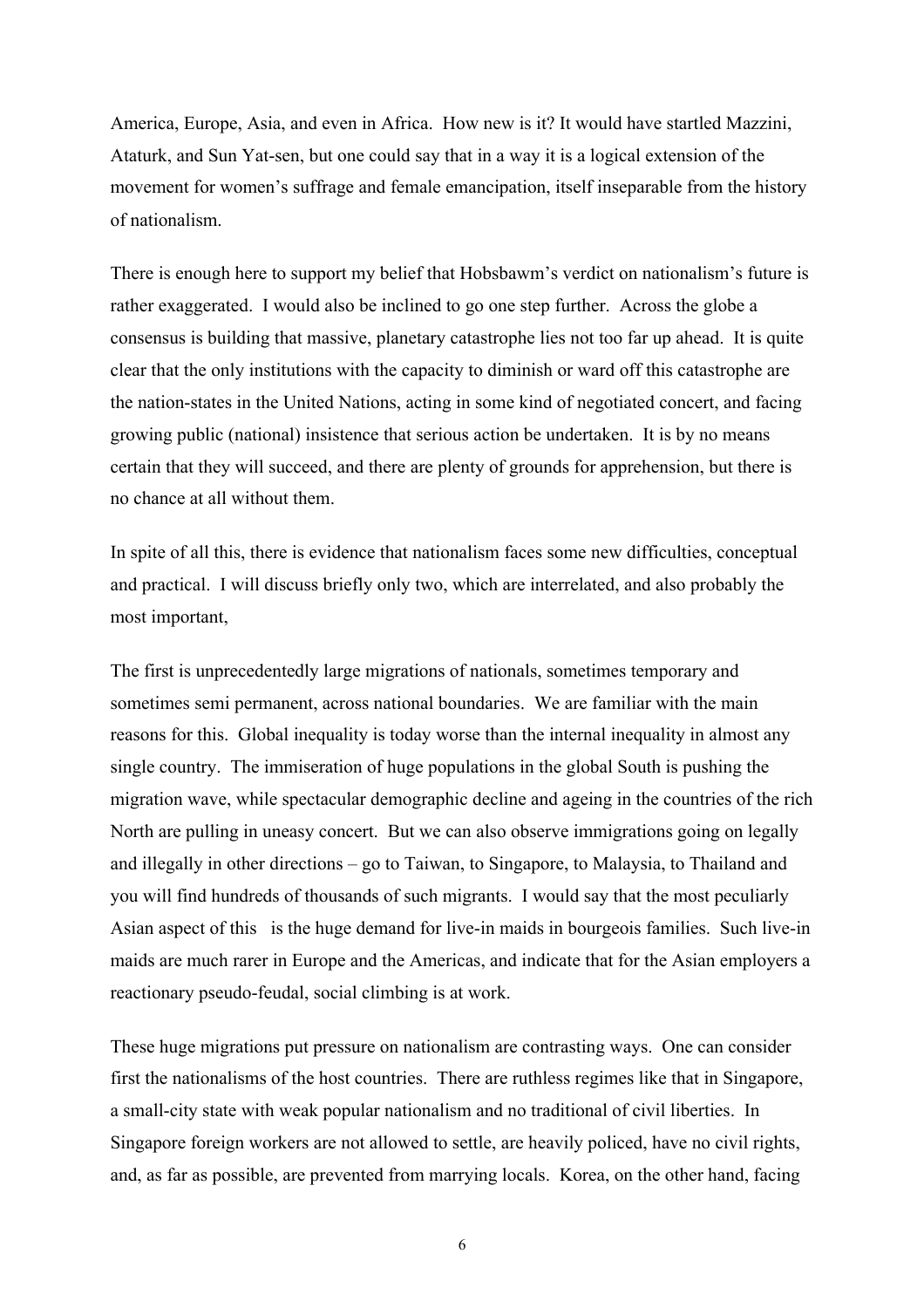America, Europe, Asia, and even in Africa. How new is it? It would have startled Mazzini, Ataturk, and Sun Yat-sen, but one could say that in a way it is a logical extension of the movement for women's suffrage and female emancipation, itself inseparable from the history of nationalism.

There is enough here to support my belief that Hobsbawm's verdict on nationalism's future is rather exaggerated. I would also be inclined to go one step further. Across the globe a consensus is building that massive, planetary catastrophe lies not too far up ahead. It is quite clear that the only institutions with the capacity to diminish or ward off this catastrophe are the nation-states in the United Nations, acting in some kind of negotiated concert, and facing growing public (national) insistence that serious action be undertaken. It is by no means certain that they will succeed, and there are plenty of grounds for apprehension, but there is no chance at all without them.

In spite of all this, there is evidence that nationalism faces some new difficulties, conceptual and practical. I will discuss briefly only two, which are interrelated, and also probably the most important,

The first is unprecedentedly large migrations of nationals, sometimes temporary and sometimes semi permanent, across national boundaries. We are familiar with the main reasons for this. Global inequality is today worse than the internal inequality in almost any single country. The immiseration of huge populations in the global South is pushing the migration wave, while spectacular demographic decline and ageing in the countries of the rich North are pulling in uneasy concert. But we can also observe immigrations going on legally and illegally in other directions – go to Taiwan, to Singapore, to Malaysia, to Thailand and you will find hundreds of thousands of such migrants. I would say that the most peculiarly Asian aspect of this is the huge demand for live-in maids in bourgeois families. Such live-in maids are much rarer in Europe and the Americas, and indicate that for the Asian employers a reactionary pseudo-feudal, social climbing is at work.

These huge migrations put pressure on nationalism are contrasting ways. One can consider first the nationalisms of the host countries. There are ruthless regimes like that in Singapore, a small-city state with weak popular nationalism and no traditional of civil liberties. In Singapore foreign workers are not allowed to settle, are heavily policed, have no civil rights, and, as far as possible, are prevented from marrying locals. Korea, on the other hand, facing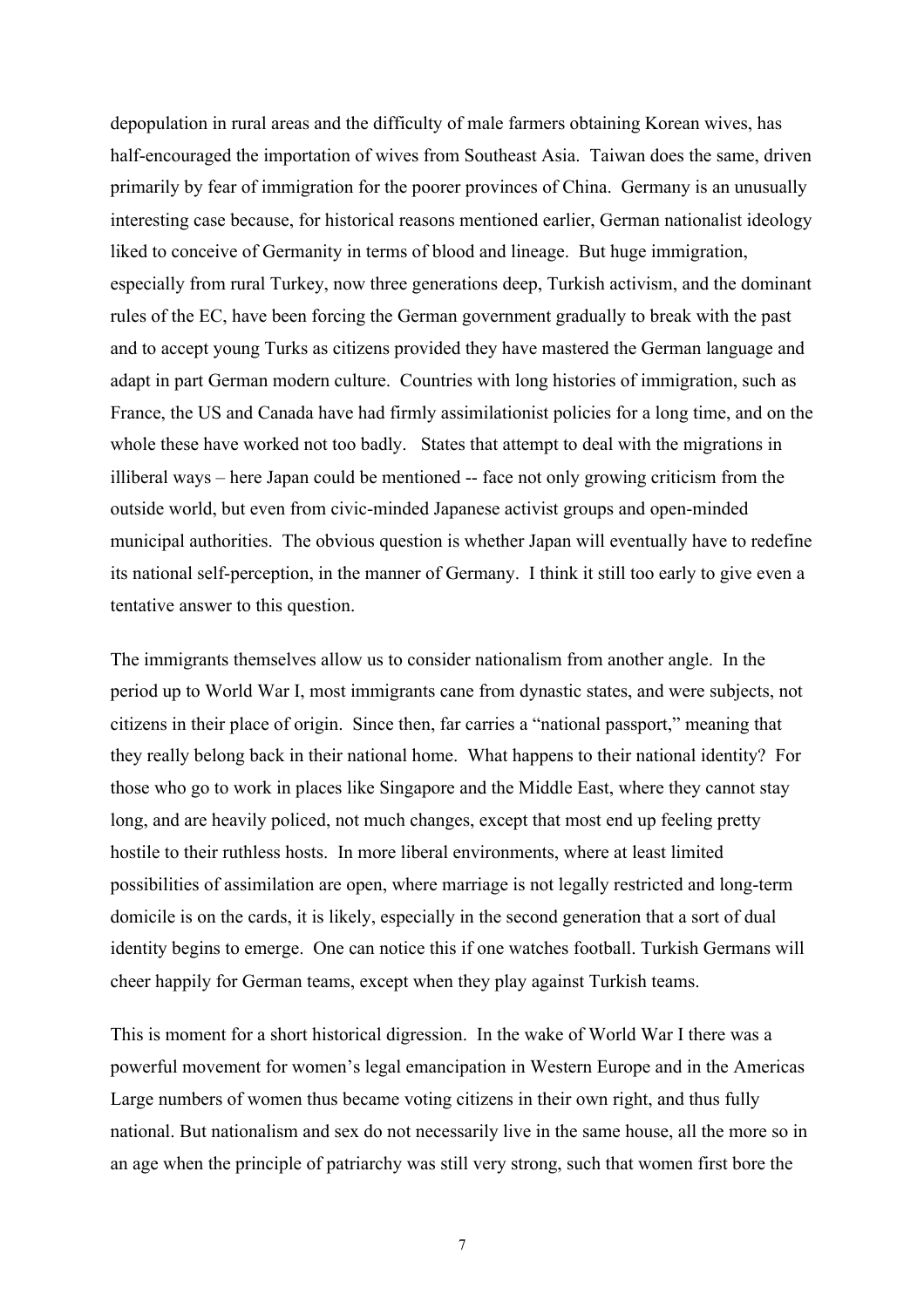depopulation in rural areas and the difficulty of male farmers obtaining Korean wives, has half-encouraged the importation of wives from Southeast Asia. Taiwan does the same, driven primarily by fear of immigration for the poorer provinces of China. Germany is an unusually interesting case because, for historical reasons mentioned earlier, German nationalist ideology liked to conceive of Germanity in terms of blood and lineage. But huge immigration, especially from rural Turkey, now three generations deep, Turkish activism, and the dominant rules of the EC, have been forcing the German government gradually to break with the past and to accept young Turks as citizens provided they have mastered the German language and adapt in part German modern culture. Countries with long histories of immigration, such as France, the US and Canada have had firmly assimilationist policies for a long time, and on the whole these have worked not too badly. States that attempt to deal with the migrations in illiberal ways – here Japan could be mentioned -- face not only growing criticism from the outside world, but even from civic-minded Japanese activist groups and open-minded municipal authorities. The obvious question is whether Japan will eventually have to redefine its national self-perception, in the manner of Germany. I think it still too early to give even a tentative answer to this question.

The immigrants themselves allow us to consider nationalism from another angle. In the period up to World War I, most immigrants cane from dynastic states, and were subjects, not citizens in their place of origin. Since then, far carries a "national passport," meaning that they really belong back in their national home. What happens to their national identity? For those who go to work in places like Singapore and the Middle East, where they cannot stay long, and are heavily policed, not much changes, except that most end up feeling pretty hostile to their ruthless hosts. In more liberal environments, where at least limited possibilities of assimilation are open, where marriage is not legally restricted and long-term domicile is on the cards, it is likely, especially in the second generation that a sort of dual identity begins to emerge. One can notice this if one watches football. Turkish Germans will cheer happily for German teams, except when they play against Turkish teams.

This is moment for a short historical digression. In the wake of World War I there was a powerful movement for women's legal emancipation in Western Europe and in the Americas Large numbers of women thus became voting citizens in their own right, and thus fully national. But nationalism and sex do not necessarily live in the same house, all the more so in an age when the principle of patriarchy was still very strong, such that women first bore the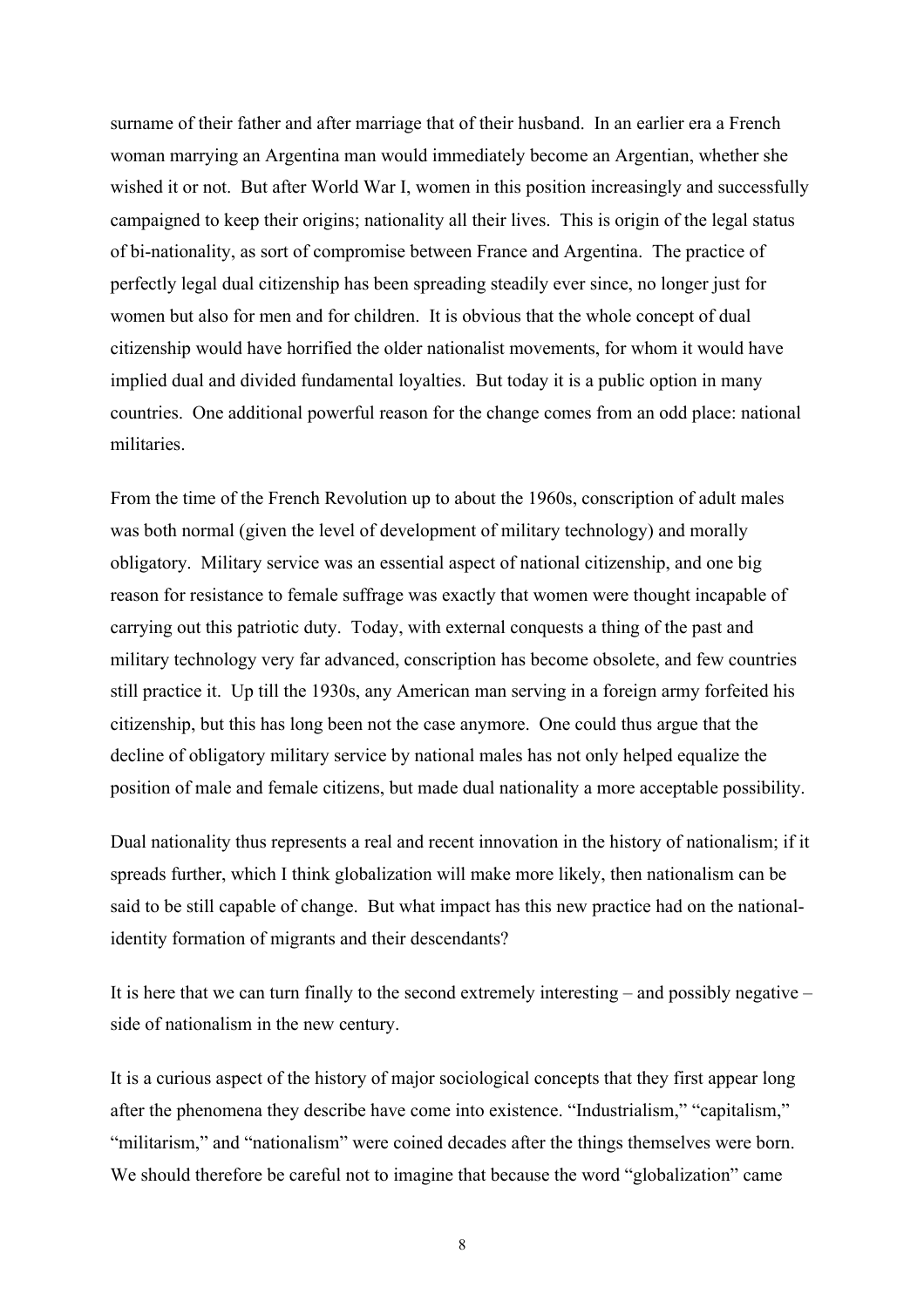surname of their father and after marriage that of their husband. In an earlier era a French woman marrying an Argentina man would immediately become an Argentian, whether she wished it or not. But after World War I, women in this position increasingly and successfully campaigned to keep their origins; nationality all their lives. This is origin of the legal status of bi-nationality, as sort of compromise between France and Argentina. The practice of perfectly legal dual citizenship has been spreading steadily ever since, no longer just for women but also for men and for children. It is obvious that the whole concept of dual citizenship would have horrified the older nationalist movements, for whom it would have implied dual and divided fundamental loyalties. But today it is a public option in many countries. One additional powerful reason for the change comes from an odd place: national militaries.

From the time of the French Revolution up to about the 1960s, conscription of adult males was both normal (given the level of development of military technology) and morally obligatory. Military service was an essential aspect of national citizenship, and one big reason for resistance to female suffrage was exactly that women were thought incapable of carrying out this patriotic duty. Today, with external conquests a thing of the past and military technology very far advanced, conscription has become obsolete, and few countries still practice it. Up till the 1930s, any American man serving in a foreign army forfeited his citizenship, but this has long been not the case anymore. One could thus argue that the decline of obligatory military service by national males has not only helped equalize the position of male and female citizens, but made dual nationality a more acceptable possibility.

Dual nationality thus represents a real and recent innovation in the history of nationalism; if it spreads further, which I think globalization will make more likely, then nationalism can be said to be still capable of change. But what impact has this new practice had on the nationalidentity formation of migrants and their descendants?

It is here that we can turn finally to the second extremely interesting – and possibly negative – side of nationalism in the new century.

It is a curious aspect of the history of major sociological concepts that they first appear long after the phenomena they describe have come into existence. "Industrialism," "capitalism," "militarism," and "nationalism" were coined decades after the things themselves were born. We should therefore be careful not to imagine that because the word "globalization" came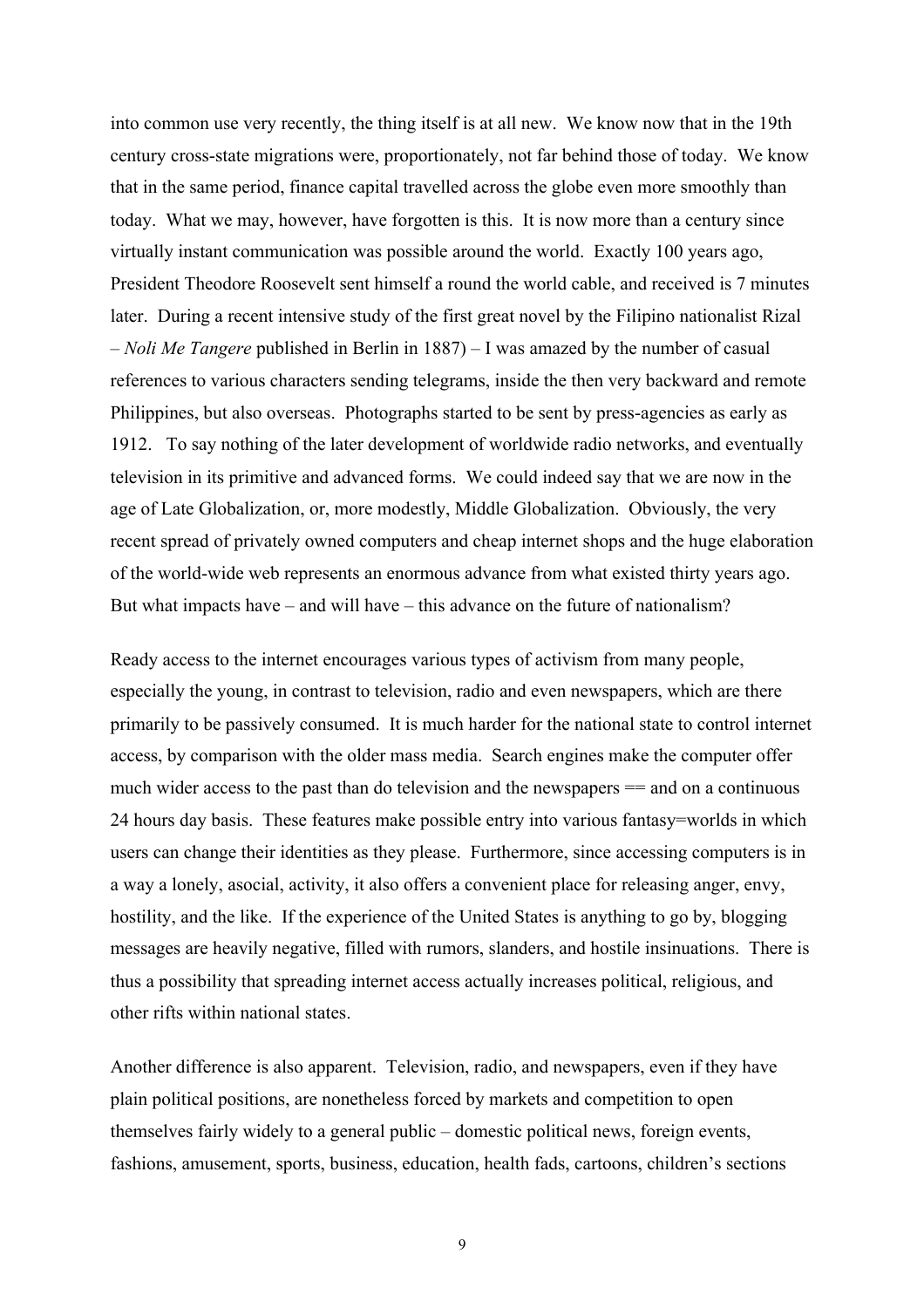into common use very recently, the thing itself is at all new. We know now that in the 19th century cross-state migrations were, proportionately, not far behind those of today. We know that in the same period, finance capital travelled across the globe even more smoothly than today. What we may, however, have forgotten is this. It is now more than a century since virtually instant communication was possible around the world. Exactly 100 years ago, President Theodore Roosevelt sent himself a round the world cable, and received is 7 minutes later. During a recent intensive study of the first great novel by the Filipino nationalist Rizal – *Noli Me Tangere* published in Berlin in 1887) – I was amazed by the number of casual references to various characters sending telegrams, inside the then very backward and remote Philippines, but also overseas. Photographs started to be sent by press-agencies as early as 1912. To say nothing of the later development of worldwide radio networks, and eventually television in its primitive and advanced forms. We could indeed say that we are now in the age of Late Globalization, or, more modestly, Middle Globalization. Obviously, the very recent spread of privately owned computers and cheap internet shops and the huge elaboration of the world-wide web represents an enormous advance from what existed thirty years ago. But what impacts have – and will have – this advance on the future of nationalism?

Ready access to the internet encourages various types of activism from many people, especially the young, in contrast to television, radio and even newspapers, which are there primarily to be passively consumed. It is much harder for the national state to control internet access, by comparison with the older mass media. Search engines make the computer offer much wider access to the past than do television and the newspapers = and on a continuous 24 hours day basis. These features make possible entry into various fantasy=worlds in which users can change their identities as they please. Furthermore, since accessing computers is in a way a lonely, asocial, activity, it also offers a convenient place for releasing anger, envy, hostility, and the like. If the experience of the United States is anything to go by, blogging messages are heavily negative, filled with rumors, slanders, and hostile insinuations. There is thus a possibility that spreading internet access actually increases political, religious, and other rifts within national states.

Another difference is also apparent. Television, radio, and newspapers, even if they have plain political positions, are nonetheless forced by markets and competition to open themselves fairly widely to a general public – domestic political news, foreign events, fashions, amusement, sports, business, education, health fads, cartoons, children's sections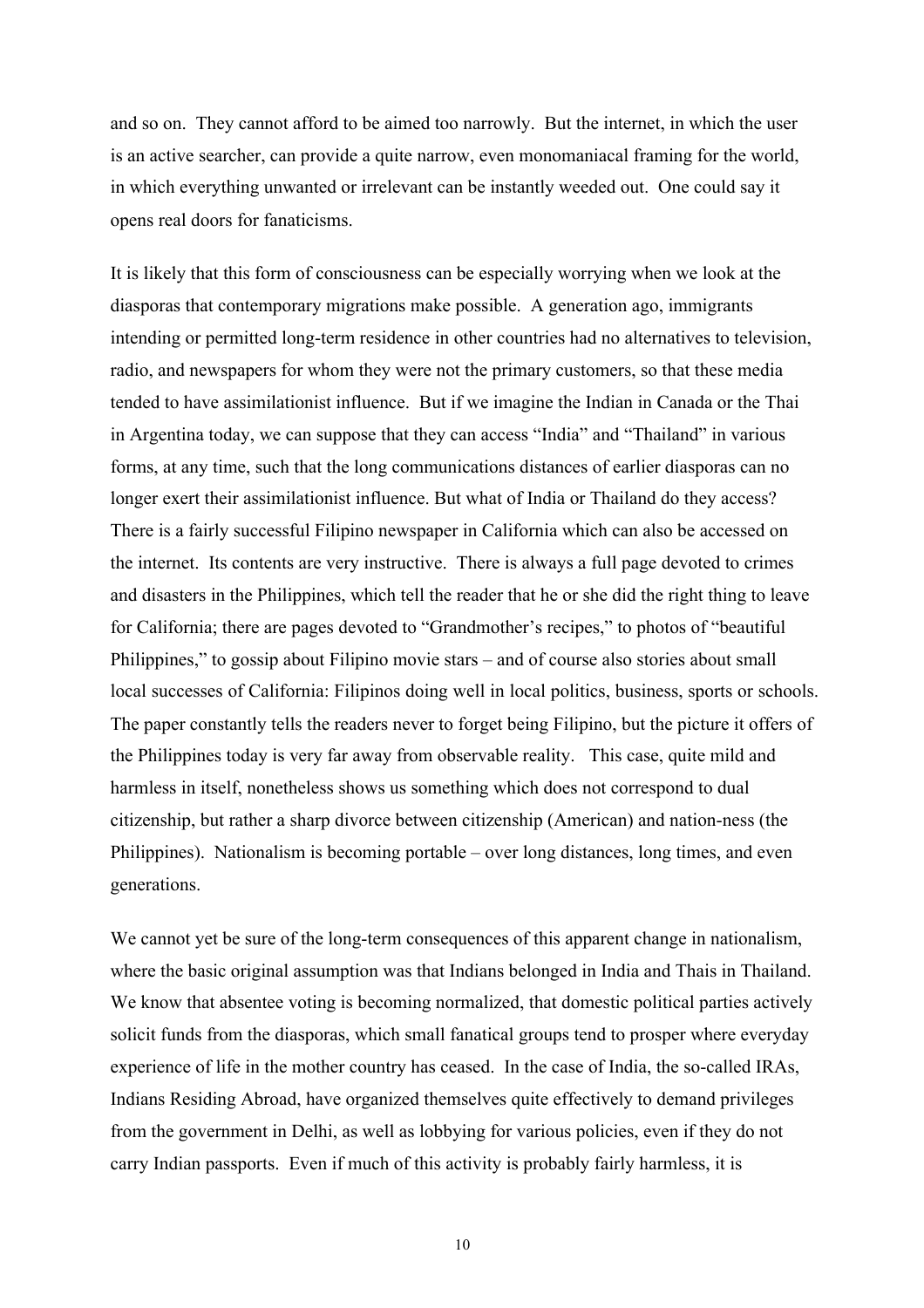and so on. They cannot afford to be aimed too narrowly. But the internet, in which the user is an active searcher, can provide a quite narrow, even monomaniacal framing for the world, in which everything unwanted or irrelevant can be instantly weeded out. One could say it opens real doors for fanaticisms.

It is likely that this form of consciousness can be especially worrying when we look at the diasporas that contemporary migrations make possible. A generation ago, immigrants intending or permitted long-term residence in other countries had no alternatives to television, radio, and newspapers for whom they were not the primary customers, so that these media tended to have assimilationist influence. But if we imagine the Indian in Canada or the Thai in Argentina today, we can suppose that they can access "India" and "Thailand" in various forms, at any time, such that the long communications distances of earlier diasporas can no longer exert their assimilationist influence. But what of India or Thailand do they access? There is a fairly successful Filipino newspaper in California which can also be accessed on the internet. Its contents are very instructive. There is always a full page devoted to crimes and disasters in the Philippines, which tell the reader that he or she did the right thing to leave for California; there are pages devoted to "Grandmother's recipes," to photos of "beautiful Philippines," to gossip about Filipino movie stars – and of course also stories about small local successes of California: Filipinos doing well in local politics, business, sports or schools. The paper constantly tells the readers never to forget being Filipino, but the picture it offers of the Philippines today is very far away from observable reality. This case, quite mild and harmless in itself, nonetheless shows us something which does not correspond to dual citizenship, but rather a sharp divorce between citizenship (American) and nation-ness (the Philippines). Nationalism is becoming portable – over long distances, long times, and even generations.

We cannot yet be sure of the long-term consequences of this apparent change in nationalism, where the basic original assumption was that Indians belonged in India and Thais in Thailand. We know that absentee voting is becoming normalized, that domestic political parties actively solicit funds from the diasporas, which small fanatical groups tend to prosper where everyday experience of life in the mother country has ceased. In the case of India, the so-called IRAs, Indians Residing Abroad, have organized themselves quite effectively to demand privileges from the government in Delhi, as well as lobbying for various policies, even if they do not carry Indian passports. Even if much of this activity is probably fairly harmless, it is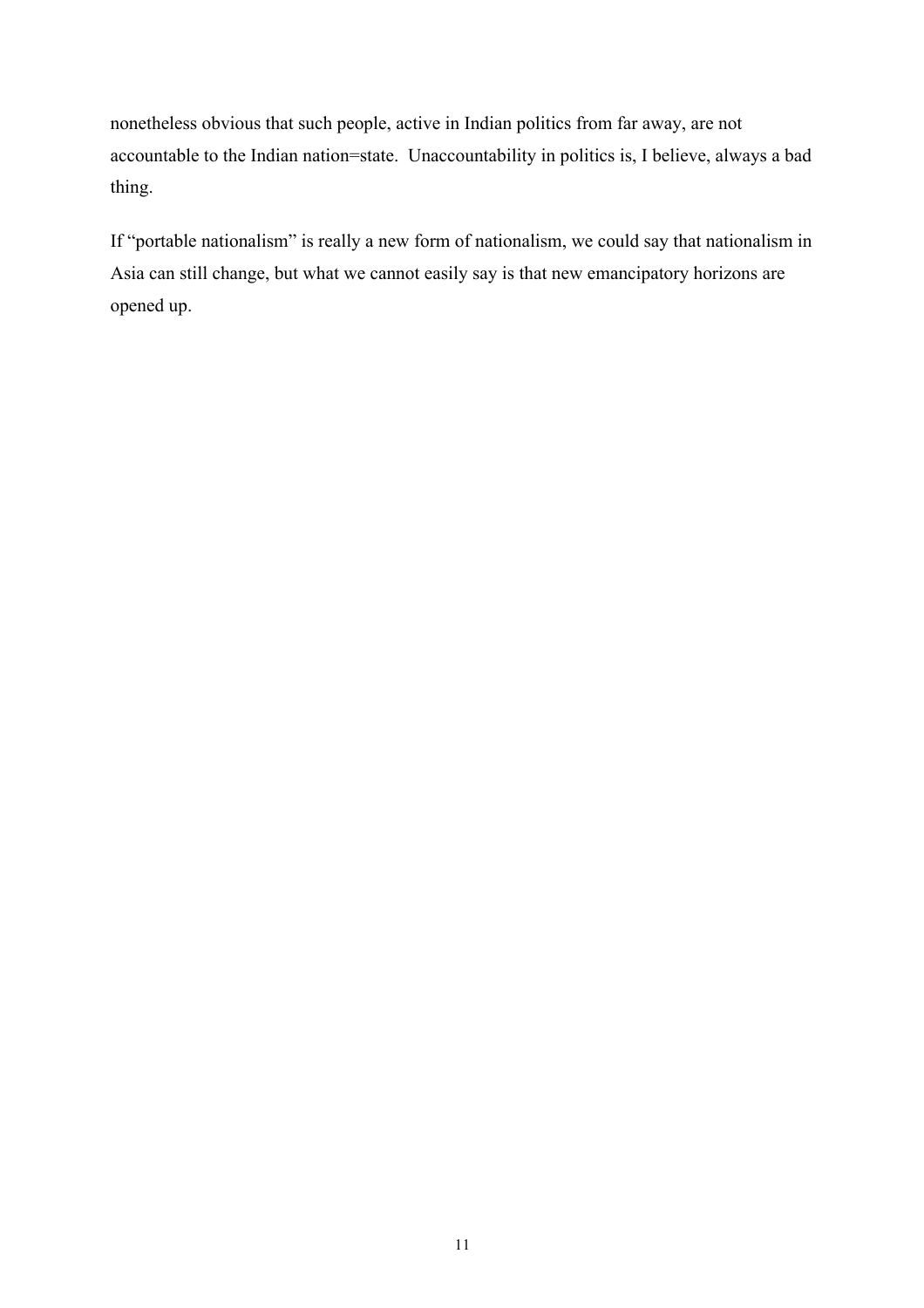nonetheless obvious that such people, active in Indian politics from far away, are not accountable to the Indian nation=state. Unaccountability in politics is, I believe, always a bad thing.

If "portable nationalism" is really a new form of nationalism, we could say that nationalism in Asia can still change, but what we cannot easily say is that new emancipatory horizons are opened up.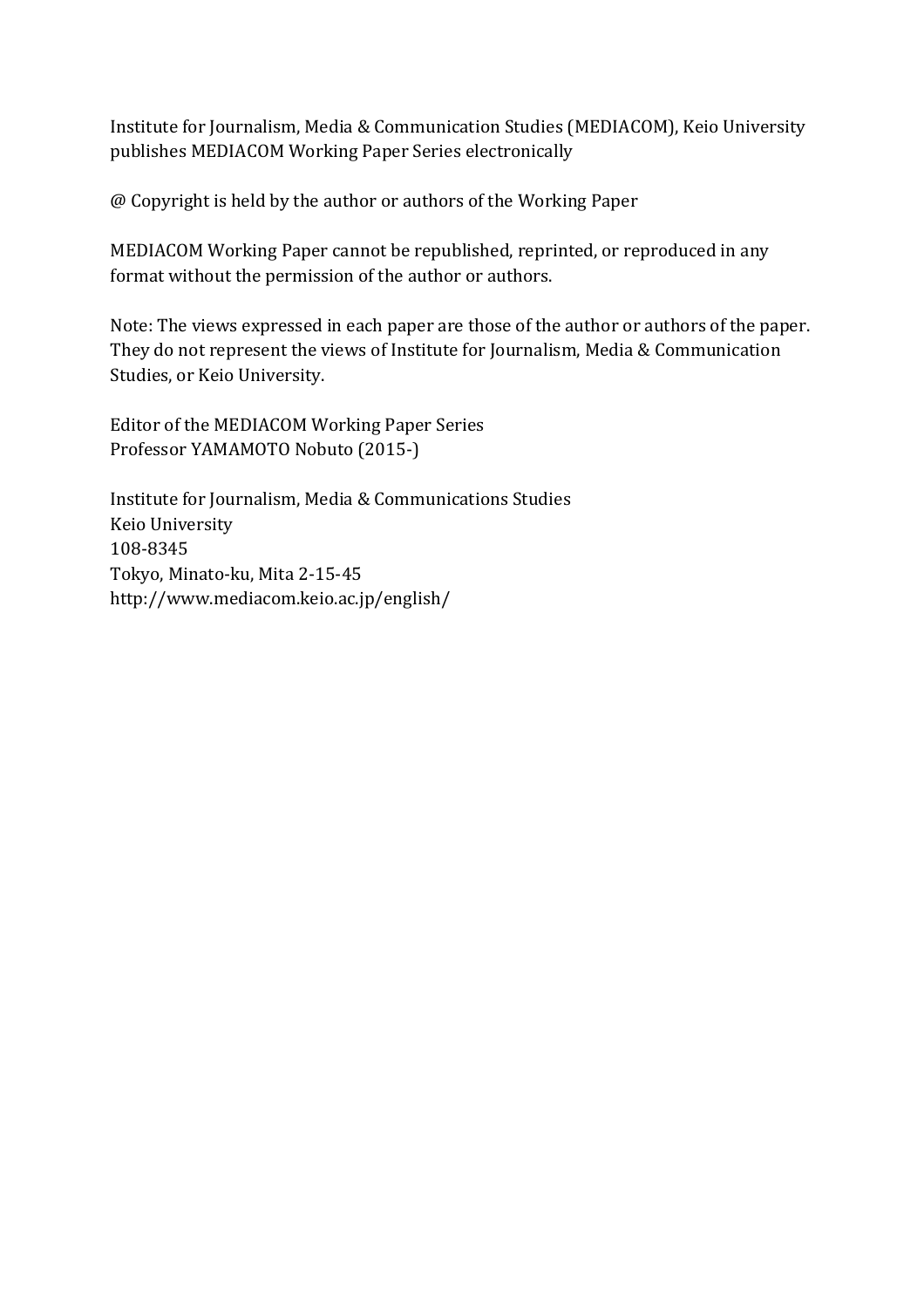Institute for Journalism, Media & Communication Studies (MEDIACOM), Keio University publishes MEDIACOM Working Paper Series electronically

 $\omega$  Copyright is held by the author or authors of the Working Paper

MEDIACOM Working Paper cannot be republished, reprinted, or reproduced in any format without the permission of the author or authors.

Note: The views expressed in each paper are those of the author or authors of the paper. They do not represent the views of Institute for Journalism, Media & Communication Studies, or Keio University.

Editor of the MEDIACOM Working Paper Series Professor YAMAMOTO Nobuto (2015-)

Institute for Journalism, Media & Communications Studies Keio University 108-8345 Tokyo, Minato-ku, Mita 2-15-45 http://www.mediacom.keio.ac.jp/english/